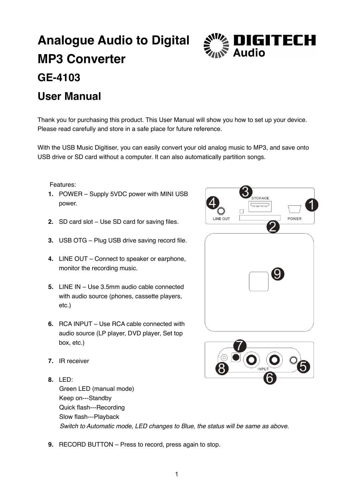# **Analogue Audio to Digital MP3 Converter GE-4103**



## **User Manual**

Thank you for purchasing this product. This User Manual will show you how to set up your device. Please read carefully and store in a safe place for future reference.

With the USB Music Digitiser, you can easily convert your old analog music to MP3, and save onto USB drive or SD card without a computer. It can also automatically partition songs.

Features:

- **1.** POWER Supply 5VDC power with MINI USB power.
- **2.** SD card slot Use SD card for saving files.
- **3.** USB OTG Plug USB drive saving record file.
- **4.** LINE OUT Connect to speaker or earphone, monitor the recording music.
- **5.** LINE IN Use 3.5mm audio cable connected with audio source (phones, cassette players, etc.)
- **6.** RCA INPUT Use RCA cable connected with audio source (LP player, DVD player, Set top box, etc.)
- 

9

,<br>STORAGE لمممه

POWER

LINE OUT

- **7.** IR receiver
- **8.** LED: Green LED (manual mode) Keep on---Standby Quick flash---Recording Slow flash---Playback Switch to Automatic mode, LED changes to Blue, the status will be same as above.
- **9.** RECORD BUTTON Press to record, press again to stop.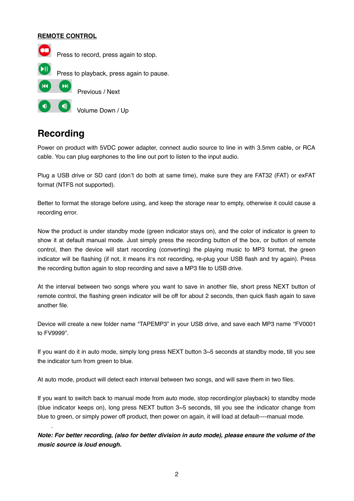#### **REMOTE CONTROL**



#### **Recording**

.

Power on product with 5VDC power adapter, connect audio source to line in with 3.5mm cable, or RCA cable. You can plug earphones to the line out port to listen to the input audio.

Plug a USB drive or SD card (don't do both at same time), make sure they are FAT32 (FAT) or exFAT format (NTFS not supported).

Better to format the storage before using, and keep the storage near to empty, otherwise it could cause a recording error.

Now the product is under standby mode (green indicator stays on), and the color of indicator is green to show it at default manual mode. Just simply press the recording button of the box, or button of remote control, then the device will start recording (converting) the playing music to MP3 format, the green indicator will be flashing (if not, it means it's not recording, re-plug your USB flash and try again). Press the recording button again to stop recording and save a MP3 file to USB drive.

At the interval between two songs where you want to save in another file, short press NEXT button of remote control, the flashing green indicator will be off for about 2 seconds, then quick flash again to save another file.

Device will create a new folder name "TAPEMP3" in your USB drive, and save each MP3 name "FV0001 to FV9999".

If you want do it in auto mode, simply long press NEXT button 3~5 seconds at standby mode, till you see the indicator turn from green to blue.

At auto mode, product will detect each interval between two songs, and will save them in two files.

If you want to switch back to manual mode from auto mode, stop recording(or playback) to standby mode (blue indicator keeps on), long press NEXT button 3~5 seconds, till you see the indicator change from blue to green, or simply power off product, then power on again, it will load at default----manual mode.

**Note: For better recording, (also for better division in auto mode), please ensure the volume of the music source is loud enough.**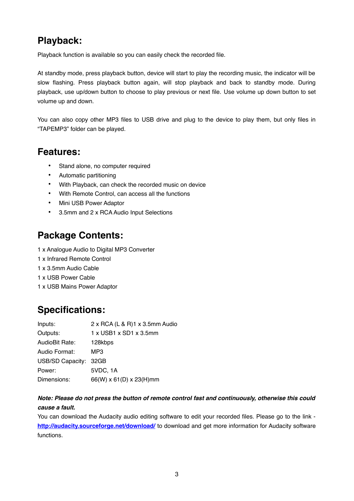#### **Playback:**

Playback function is available so you can easily check the recorded file.

At standby mode, press playback button, device will start to play the recording music, the indicator will be slow flashing. Press playback button again, will stop playback and back to standby mode. During playback, use up/down button to choose to play previous or next file. Use volume up down button to set volume up and down.

You can also copy other MP3 files to USB drive and plug to the device to play them, but only files in "TAPEMP3" folder can be played.

#### **Features:**

- Stand alone, no computer required
- Automatic partitioning
- With Playback, can check the recorded music on device
- With Remote Control, can access all the functions
- Mini USB Power Adaptor
- 3.5mm and 2 x RCA Audio Input Selections

#### **Package Contents:**

- 1 x Analogue Audio to Digital MP3 Converter
- 1 x Infrared Remote Control
- 1 x 3.5mm Audio Cable
- 1 x USB Power Cable
- 1 x USB Mains Power Adaptor

### **Specifications:**

| Inputs:               | 2 x RCA (L & R)1 x 3.5mm Audio |
|-----------------------|--------------------------------|
| Outputs:              | 1 x USB1 x SD1 x 3.5mm         |
| AudioBit Rate:        | 128kbps                        |
| Audio Format:         | MP3                            |
| USB/SD Capacity: 32GB |                                |
| Power:                | 5VDC, 1A                       |
| Dimensions:           | 66(W) x 61(D) x 23(H)mm        |

#### **Note: Please do not press the button of remote control fast and continuously, otherwise this could cause a fault.**

You can download the Audacity audio editing software to edit your recorded files. Please go to the link **<http://audacity.sourceforge.net/download/>** to download and get more information for Audacity software functions.